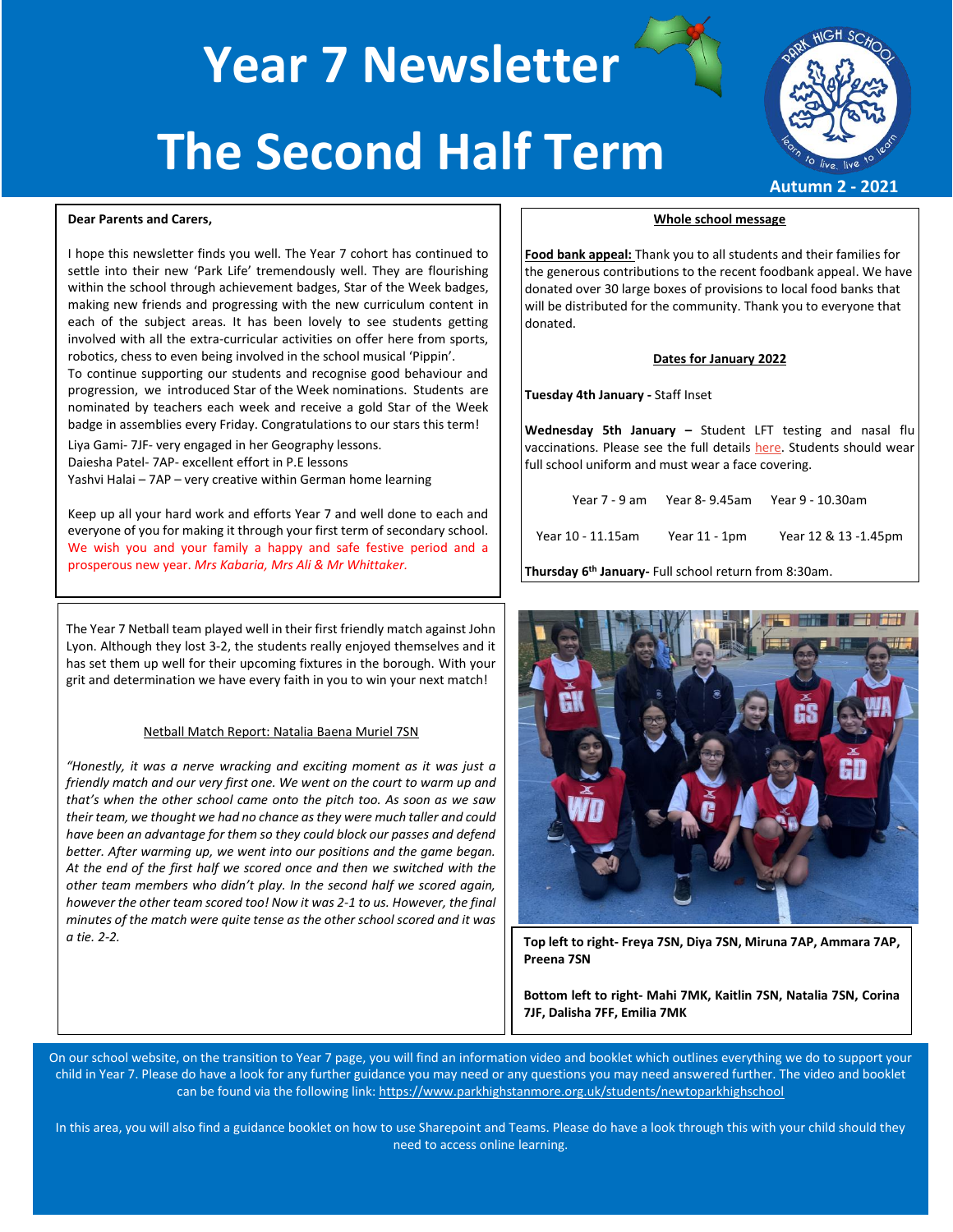**Year 7 Newsletter The Second Half Term**



**Autumn 2 - 2021**

### **Dear Parents and Carers,**

I hope this newsletter finds you well. The Year 7 cohort has continued to settle into their new 'Park Life' tremendously well. They are flourishing within the school through achievement badges, Star of the Week badges, making new friends and progressing with the new curriculum content in each of the subject areas. It has been lovely to see students getting involved with all the extra-curricular activities on offer here from sports, robotics, chess to even being involved in the school musical 'Pippin'.

To continue supporting our students and recognise good behaviour and progression, we introduced Star of the Week nominations. Students are nominated by teachers each week and receive a gold Star of the Week badge in assemblies every Friday. Congratulations to our stars this term!

Liya Gami- 7JF- very engaged in her Geography lessons. Daiesha Patel- 7AP- excellent effort in P.E lessons Yashvi Halai – 7AP – very creative within German home learning

Keep up all your hard work and efforts Year 7 and well done to each and everyone of you for making it through your first term of secondary school. We wish you and your family a happy and safe festive period and a prosperous new year. *Mrs Kabaria, Mrs Ali & Mr Whittaker.* 

The Year 7 Netball team played well in their first friendly match against John Lyon. Although they lost 3-2, the students really enjoyed themselves and it has set them up well for their upcoming fixtures in the borough. With your grit and determination we have every faith in you to win your next match!

#### Netball Match Report: Natalia Baena Muriel 7SN

*"Honestly, it was a nerve wracking and exciting moment as it was just a friendly match and our very first one. We went on the court to warm up and that's when the other school came onto the pitch too. As soon as we saw their team, we thought we had no chance as they were much taller and could have been an advantage for them so they could block our passes and defend better. After warming up, we went into our positions and the game began. At the end of the first half we scored once and then we switched with the other team members who didn't play. In the second half we scored again, however the other team scored too! Now it was 2-1 to us. However, the final minutes of the match were quite tense as the other school scored and it was a tie. 2-2.*

### **Whole school message**

**Food bank appeal:** Thank you to all students and their families for the generous contributions to the recent foodbank appeal. We have donated over 30 large boxes of provisions to local food banks that will be distributed for the community. Thank you to everyone that donated.

## **Dates for January 2022**

**Tuesday 4th January -** Staff Inset

**Wednesday 5th January –** Student LFT testing and nasal flu vaccinations. Please see the full details [here.](https://www.parkhighstanmore.org.uk/_site/data/files/files/95617A296E546AD723D0CA88FFF910F9.pdf) Students should wear full school uniform and must wear a face covering.

| Year 7 - 9 am     | Year 8- 9.45am | Year 9 - 10.30am     |
|-------------------|----------------|----------------------|
| Year 10 - 11.15am | Year 11 - 1pm  | Year 12 & 13 -1.45pm |

**Thursday 6th January-** Full school return from 8:30am.



**Top left to right- Freya 7SN, Diya 7SN, Miruna 7AP, Ammara 7AP, Preena 7SN**

**Bottom left to right- Mahi 7MK, Kaitlin 7SN, Natalia 7SN, Corina 7JF, Dalisha 7FF, Emilia 7MK**

On our school website, on the transition to Year 7 page, you will find an information video and booklet which outlines everything we do to support your child in Year 7. Please do have a look for any further guidance you may need or any questions you may need answered further. The video and booklet can be found via the following link[: https://www.parkhighstanmore.org.uk/students/newtoparkhighschool](https://www.parkhighstanmore.org.uk/students/newtoparkhighschool)

In this area, you will also find a guidance booklet on how to use Sharepoint and Teams. Please do have a look through this with your child should they need to access online learning.